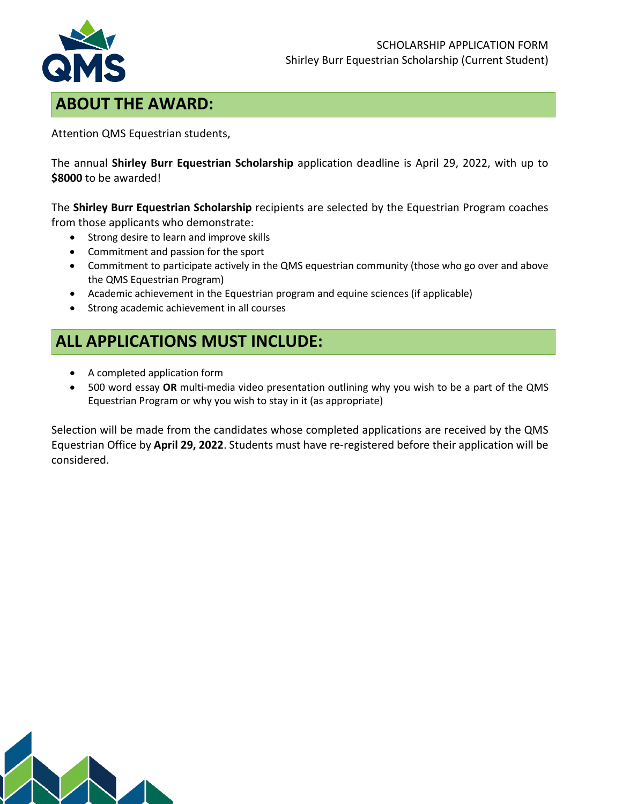

## **ABOUT THE AWARD:**

Attention QMS Equestrian students,

The annual **Shirley Burr Equestrian Scholarship** application deadline is April 29, 2022, with up to **\$8000** to be awarded!

The **Shirley Burr Equestrian Scholarship** recipients are selected by the Equestrian Program coaches from those applicants who demonstrate:

- Strong desire to learn and improve skills
- Commitment and passion for the sport
- Commitment to participate actively in the QMS equestrian community (those who go over and above the QMS Equestrian Program)
- Academic achievement in the Equestrian program and equine sciences (if applicable)
- Strong academic achievement in all courses

## **ALL APPLICATIONS MUST INCLUDE:**

- A completed application form
- 500 word essay **OR** multi-media video presentation outlining why you wish to be a part of the QMS Equestrian Program or why you wish to stay in it (as appropriate)

Selection will be made from the candidates whose completed applications are received by the QMS Equestrian Office by **April 29, 2022**. Students must have re-registered before their application will be considered.

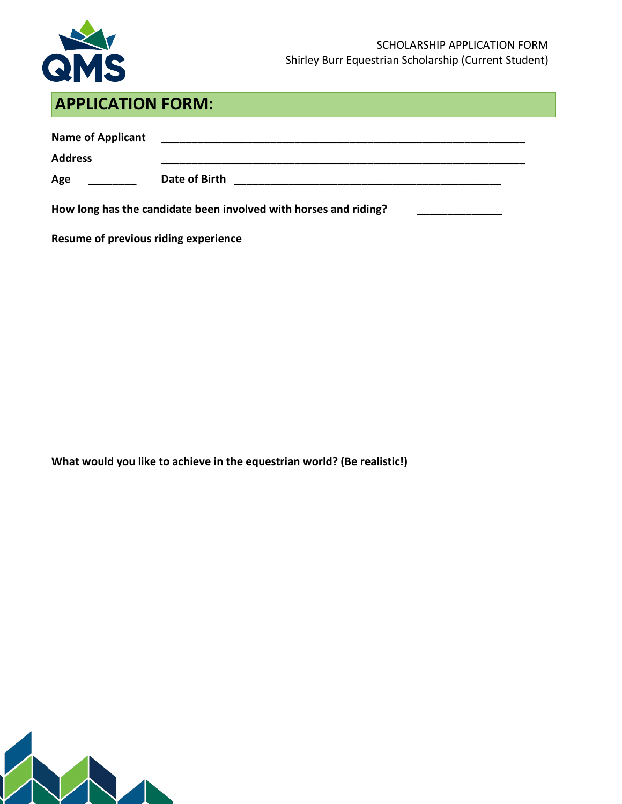

## **APPLICATION FORM:**

| <b>Name of Applicant</b><br><b>Address</b>                       |               |  |
|------------------------------------------------------------------|---------------|--|
| Age                                                              | Date of Birth |  |
| How long has the candidate been involved with horses and riding? |               |  |

**Resume of previous riding experience**

**What would you like to achieve in the equestrian world? (Be realistic!)**

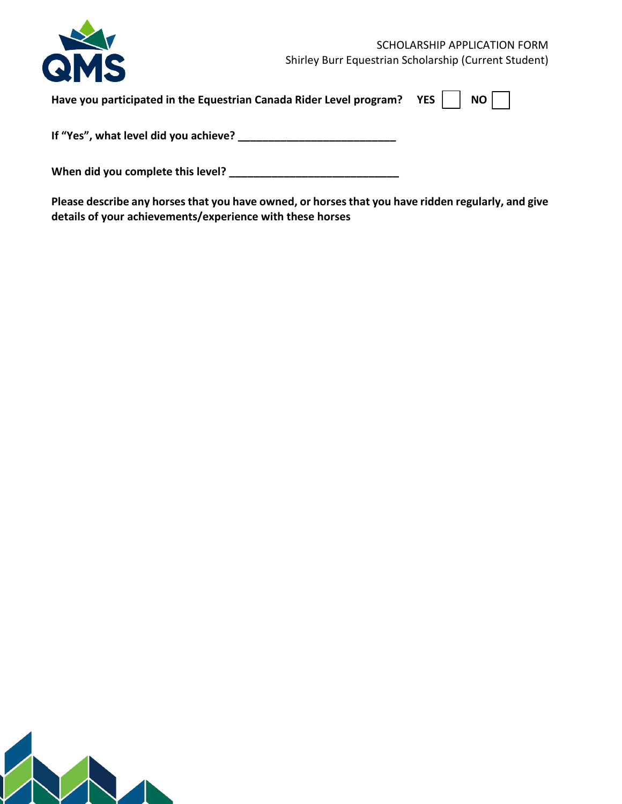|                                                                         | SCHOLARSHIP APPLICATION FORM                          |
|-------------------------------------------------------------------------|-------------------------------------------------------|
| QMS                                                                     | Shirley Burr Equestrian Scholarship (Current Student) |
| Have you participated in the Equestrian Canada Rider Level program? YES | NO                                                    |
| If "Yes", what level did you achieve?                                   |                                                       |
| When did you complete this level?                                       |                                                       |

**Please describe any horses that you have owned, or horses that you have ridden regularly, and give details of your achievements/experience with these horses**